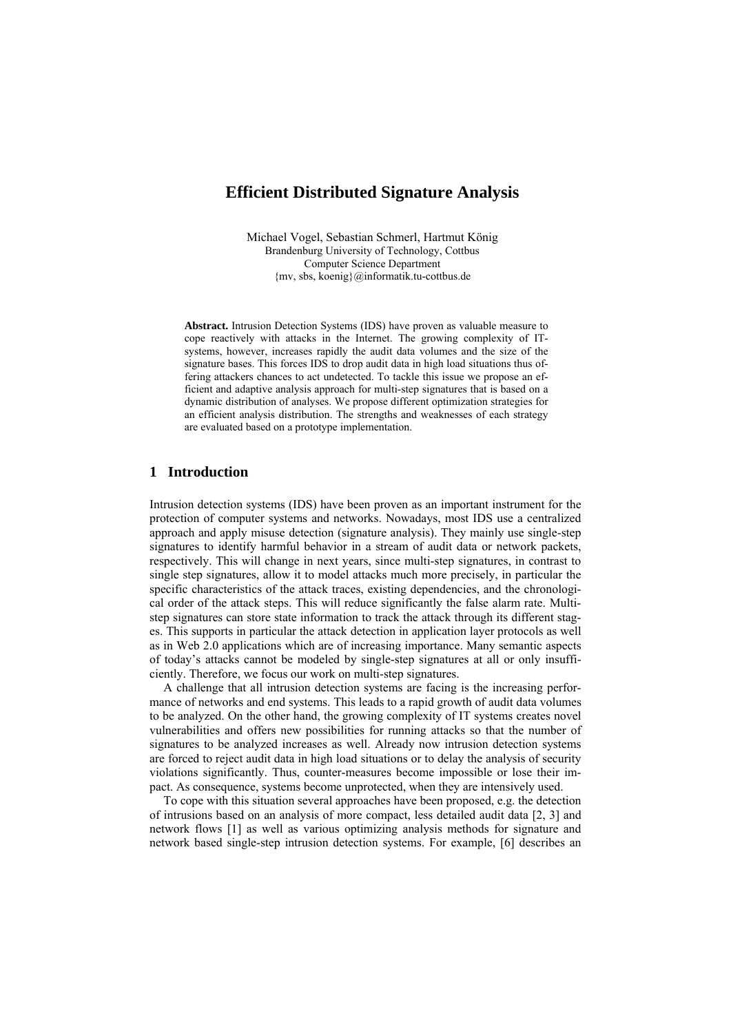# **Efficient Distributed Signature Analysis**

Michael Vogel, Sebastian Schmerl, Hartmut König Brandenburg University of Technology, Cottbus Computer Science Department {mv, sbs, koenig}@informatik.tu-cottbus.de

**Abstract.** Intrusion Detection Systems (IDS) have proven as valuable measure to cope reactively with attacks in the Internet. The growing complexity of ITsystems, however, increases rapidly the audit data volumes and the size of the signature bases. This forces IDS to drop audit data in high load situations thus offering attackers chances to act undetected. To tackle this issue we propose an efficient and adaptive analysis approach for multi-step signatures that is based on a dynamic distribution of analyses. We propose different optimization strategies for an efficient analysis distribution. The strengths and weaknesses of each strategy are evaluated based on a prototype implementation.

### **1 Introduction**

Intrusion detection systems (IDS) have been proven as an important instrument for the protection of computer systems and networks. Nowadays, most IDS use a centralized approach and apply misuse detection (signature analysis). They mainly use single-step signatures to identify harmful behavior in a stream of audit data or network packets, respectively. This will change in next years, since multi-step signatures, in contrast to single step signatures, allow it to model attacks much more precisely, in particular the specific characteristics of the attack traces, existing dependencies, and the chronological order of the attack steps. This will reduce significantly the false alarm rate. Multistep signatures can store state information to track the attack through its different stages. This supports in particular the attack detection in application layer protocols as well as in Web 2.0 applications which are of increasing importance. Many semantic aspects of today's attacks cannot be modeled by single-step signatures at all or only insufficiently. Therefore, we focus our work on multi-step signatures.

A challenge that all intrusion detection systems are facing is the increasing performance of networks and end systems. This leads to a rapid growth of audit data volumes to be analyzed. On the other hand, the growing complexity of IT systems creates novel vulnerabilities and offers new possibilities for running attacks so that the number of signatures to be analyzed increases as well. Already now intrusion detection systems are forced to reject audit data in high load situations or to delay the analysis of security violations significantly. Thus, counter-measures become impossible or lose their impact. As consequence, systems become unprotected, when they are intensively used.

To cope with this situation several approaches have been proposed, e.g. the detection of intrusions based on an analysis of more compact, less detailed audit data [2, 3] and network flows [1] as well as various optimizing analysis methods for signature and network based single-step intrusion detection systems. For example, [6] describes an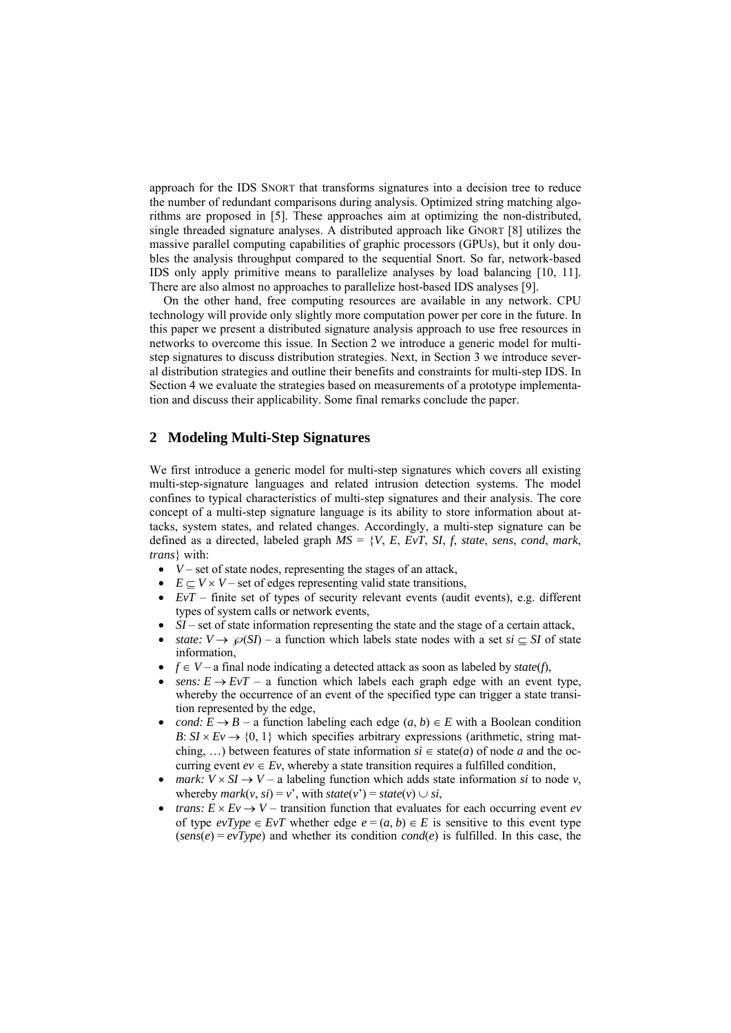approach for the IDS SNORT that transforms signatures into a decision tree to reduce the number of redundant comparisons during analysis. Optimized string matching algorithms are proposed in [5]. These approaches aim at optimizing the non-distributed, single threaded signature analyses. A distributed approach like GNORT [8] utilizes the massive parallel computing capabilities of graphic processors (GPUs), but it only doubles the analysis throughput compared to the sequential Snort. So far, network-based IDS only apply primitive means to parallelize analyses by load balancing [10, 11]. There are also almost no approaches to parallelize host-based IDS analyses [9].

On the other hand, free computing resources are available in any network. CPU technology will provide only slightly more computation power per core in the future. In this paper we present a distributed signature analysis approach to use free resources in networks to overcome this issue. In Section 2 we introduce a generic model for multistep signatures to discuss distribution strategies. Next, in Section 3 we introduce several distribution strategies and outline their benefits and constraints for multi-step IDS. In Section 4 we evaluate the strategies based on measurements of a prototype implementation and discuss their applicability. Some final remarks conclude the paper.

# **2 Modeling Multi-Step Signatures**

We first introduce a generic model for multi-step signatures which covers all existing multi-step-signature languages and related intrusion detection systems. The model confines to typical characteristics of multi-step signatures and their analysis. The core concept of a multi-step signature language is its ability to store information about attacks, system states, and related changes. Accordingly, a multi-step signature can be defined as a directed, labeled graph  $MS = \{V, E, EVT, SI, f, state, sens, cond, mark,$ *trans*} with:

- $\bullet$  *V* set of state nodes, representing the stages of an attack,
- $E \subseteq V \times V$  set of edges representing valid state transitions,
- $\bullet$  *EvT* finite set of types of security relevant events (audit events), e.g. different types of system calls or network events,
- $\bullet$  *SI* set of state information representing the state and the stage of a certain attack,
- *state:*  $V \rightarrow \mathcal{P}(SI)$  a function which labels state nodes with a set *si*  $\subseteq$  *SI* of state information,
- $f \in V a$  final node indicating a detected attack as soon as labeled by *state*(*f*),
- *sens:*  $E \rightarrow EvT$  a function which labels each graph edge with an event type, whereby the occurrence of an event of the specified type can trigger a state transition represented by the edge,
- *cond:*  $E \rightarrow B$  a function labeling each edge  $(a, b) \in E$  with a Boolean condition *B*:  $S I \times E v \rightarrow \{0, 1\}$  which specifies arbitrary expressions (arithmetic, string matching, ...) between features of state information  $si \in state(a)$  of node *a* and the occurring event  $ev \in Ev$ , whereby a state transition requires a fulfilled condition,
- *mark:*  $V \times SI \rightarrow V a$  labeling function which adds state information *si* to node *v*, whereby  $mark(v, si) = v'$ , with  $state(v') = state(v) \cup si$ ,
- *trans:*  $E \times Ev \rightarrow V$  transition function that evaluates for each occurring event *ev* of type  $evType \in EvT$  whether edge  $e = (a, b) \in E$  is sensitive to this event type  $(sens(e) = evType)$  and whether its condition *cond*(*e*) is fulfilled. In this case, the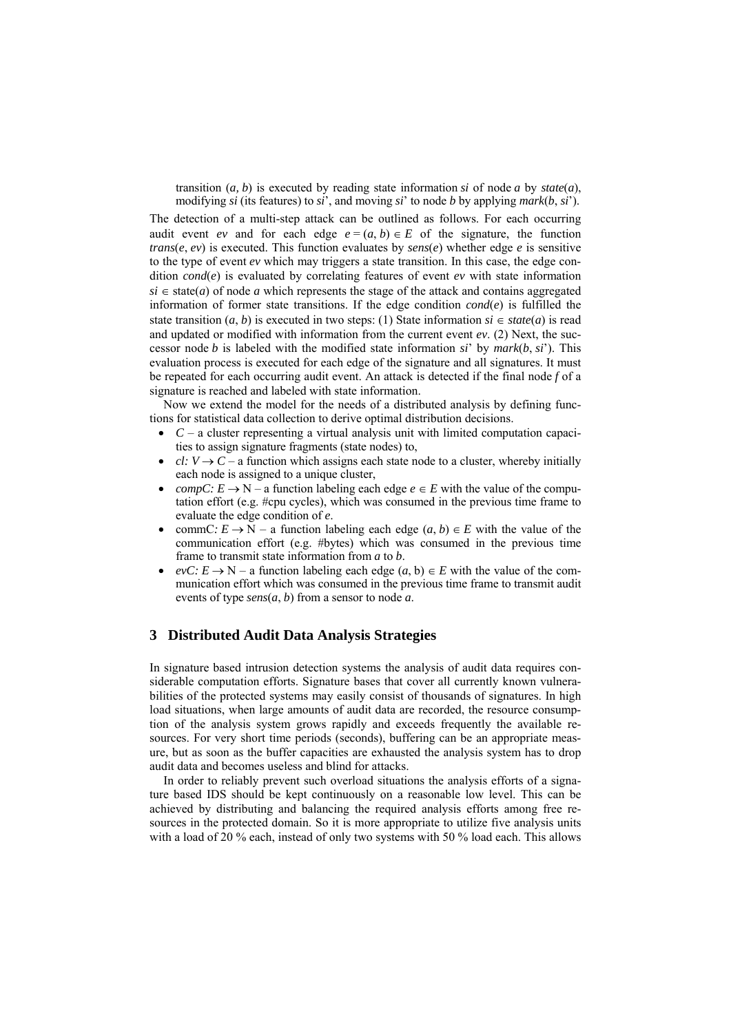transition (*a, b*) is executed by reading state information *si* of node *a* by *state*(*a*), modifying *si* (its features) to *si*', and moving *si*' to node *b* by applying *mark*(*b*, *si*').

The detection of a multi-step attack can be outlined as follows. For each occurring audit event *ev* and for each edge  $e = (a, b) \in E$  of the signature, the function *trans*(*e*, *ev*) is executed. This function evaluates by  $sens(e)$  whether edge *e* is sensitive to the type of event *ev* which may triggers a state transition. In this case, the edge condition *cond*(*e*) is evaluated by correlating features of event *ev* with state information  $si \in state(a)$  of node *a* which represents the stage of the attack and contains aggregated information of former state transitions. If the edge condition  $cond(e)$  is fulfilled the state transition  $(a, b)$  is executed in two steps: (1) State information  $si \in state(a)$  is read and updated or modified with information from the current event *ev*. (2) Next, the successor node *b* is labeled with the modified state information *si*' by *mark*(*b*, *si*'). This evaluation process is executed for each edge of the signature and all signatures. It must be repeated for each occurring audit event. An attack is detected if the final node *f* of a signature is reached and labeled with state information.

Now we extend the model for the needs of a distributed analysis by defining functions for statistical data collection to derive optimal distribution decisions.

- $\bullet$   $C a$  cluster representing a virtual analysis unit with limited computation capacities to assign signature fragments (state nodes) to,
- *cl:*  $V \rightarrow C$  a function which assigns each state node to a cluster, whereby initially each node is assigned to a unique cluster,
- *compC:*  $E \rightarrow N a$  function labeling each edge  $e \in E$  with the value of the computation effort (e.g. #cpu cycles), which was consumed in the previous time frame to evaluate the edge condition of *e*.
- commC:  $E \to N a$  function labeling each edge  $(a, b) \in E$  with the value of the communication effort (e.g. #bytes) which was consumed in the previous time frame to transmit state information from *a* to *b*.
- *evC:*  $E \rightarrow N a$  function labeling each edge  $(a, b) \in E$  with the value of the communication effort which was consumed in the previous time frame to transmit audit events of type *sens*(*a*, *b*) from a sensor to node *a*.

## **3 Distributed Audit Data Analysis Strategies**

In signature based intrusion detection systems the analysis of audit data requires considerable computation efforts. Signature bases that cover all currently known vulnerabilities of the protected systems may easily consist of thousands of signatures. In high load situations, when large amounts of audit data are recorded, the resource consumption of the analysis system grows rapidly and exceeds frequently the available resources. For very short time periods (seconds), buffering can be an appropriate measure, but as soon as the buffer capacities are exhausted the analysis system has to drop audit data and becomes useless and blind for attacks.

In order to reliably prevent such overload situations the analysis efforts of a signature based IDS should be kept continuously on a reasonable low level. This can be achieved by distributing and balancing the required analysis efforts among free resources in the protected domain. So it is more appropriate to utilize five analysis units with a load of 20 % each, instead of only two systems with 50 % load each. This allows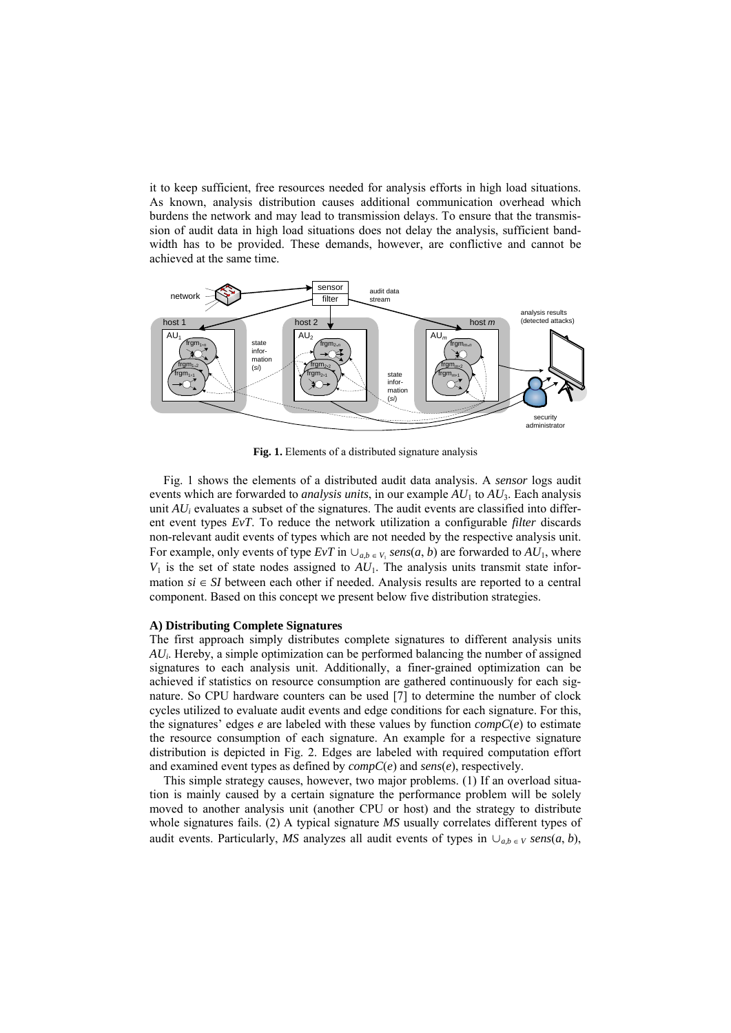it to keep sufficient, free resources needed for analysis efforts in high load situations. As known, analysis distribution causes additional communication overhead which burdens the network and may lead to transmission delays. To ensure that the transmission of audit data in high load situations does not delay the analysis, sufficient bandwidth has to be provided. These demands, however, are conflictive and cannot be achieved at the same time.



**Fig. 1.** Elements of a distributed signature analysis

Fig. 1 shows the elements of a distributed audit data analysis. A *sensor* logs audit events which are forwarded to *analysis units*, in our example *AU*1 to *AU*3. Each analysis unit  $AU_i$  evaluates a subset of the signatures. The audit events are classified into different event types *EvT*. To reduce the network utilization a configurable *filter* discards non-relevant audit events of types which are not needed by the respective analysis unit. For example, only events of type  $EvT$  in  $\cup_{a,b \in V_1}$  sens $(a, b)$  are forwarded to  $AU_1$ , where  $V_1$  is the set of state nodes assigned to  $AU_1$ . The analysis units transmit state information  $si \in SI$  between each other if needed. Analysis results are reported to a central component. Based on this concept we present below five distribution strategies.

#### **A) Distributing Complete Signatures**

The first approach simply distributes complete signatures to different analysis units *AUi*. Hereby, a simple optimization can be performed balancing the number of assigned signatures to each analysis unit. Additionally, a finer-grained optimization can be achieved if statistics on resource consumption are gathered continuously for each signature. So CPU hardware counters can be used [7] to determine the number of clock cycles utilized to evaluate audit events and edge conditions for each signature. For this, the signatures' edges  $e$  are labeled with these values by function  $compC(e)$  to estimate the resource consumption of each signature. An example for a respective signature distribution is depicted in Fig. 2. Edges are labeled with required computation effort and examined event types as defined by *compC*(*e*) and *sens*(*e*), respectively.

This simple strategy causes, however, two major problems. (1) If an overload situation is mainly caused by a certain signature the performance problem will be solely moved to another analysis unit (another CPU or host) and the strategy to distribute whole signatures fails. (2) A typical signature *MS* usually correlates different types of audit events. Particularly, *MS* analyzes all audit events of types in  $\bigcup_{a,b \in V}$  sens $(a, b)$ ,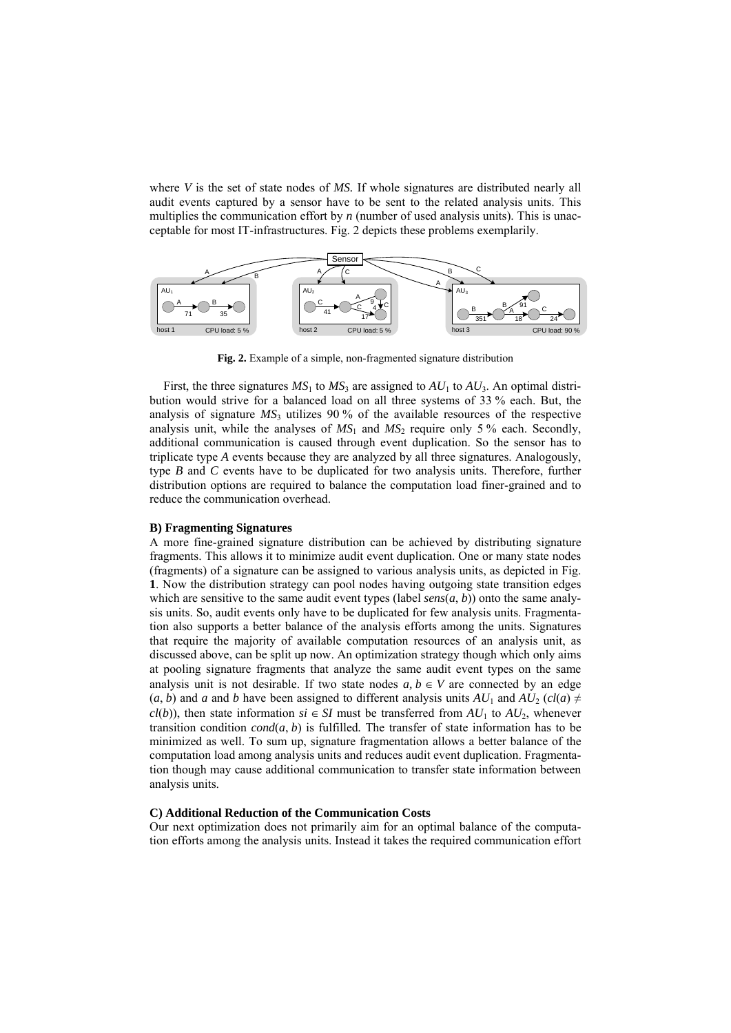where *V* is the set of state nodes of *MS*. If whole signatures are distributed nearly all audit events captured by a sensor have to be sent to the related analysis units. This multiplies the communication effort by *n* (number of used analysis units). This is unacceptable for most IT-infrastructures. Fig. 2 depicts these problems exemplarily.



**Fig. 2.** Example of a simple, non-fragmented signature distribution

First, the three signatures  $MS_1$  to  $MS_3$  are assigned to  $AU_1$  to  $AU_3$ . An optimal distribution would strive for a balanced load on all three systems of 33 % each. But, the analysis of signature  $MS_3$  utilizes 90 % of the available resources of the respective analysis unit, while the analyses of  $MS_1$  and  $MS_2$  require only 5% each. Secondly, additional communication is caused through event duplication. So the sensor has to triplicate type *A* events because they are analyzed by all three signatures. Analogously, type *B* and *C* events have to be duplicated for two analysis units. Therefore, further distribution options are required to balance the computation load finer-grained and to reduce the communication overhead.

#### **B) Fragmenting Signatures**

A more fine-grained signature distribution can be achieved by distributing signature fragments. This allows it to minimize audit event duplication. One or many state nodes (fragments) of a signature can be assigned to various analysis units, as depicted in Fig. **1**. Now the distribution strategy can pool nodes having outgoing state transition edges which are sensitive to the same audit event types (label  $sens(a, b)$ ) onto the same analysis units. So, audit events only have to be duplicated for few analysis units. Fragmentation also supports a better balance of the analysis efforts among the units. Signatures that require the majority of available computation resources of an analysis unit, as discussed above, can be split up now. An optimization strategy though which only aims at pooling signature fragments that analyze the same audit event types on the same analysis unit is not desirable. If two state nodes  $a, b \in V$  are connected by an edge  $(a, b)$  and *a* and *b* have been assigned to different analysis units  $AU_1$  and  $AU_2$  (*cl*(*a*)  $\neq$  $cl(b)$ ), then state information  $si \in SI$  must be transferred from  $AU_1$  to  $AU_2$ , whenever transition condition  $cond(a, b)$  is fulfilled. The transfer of state information has to be minimized as well. To sum up, signature fragmentation allows a better balance of the computation load among analysis units and reduces audit event duplication. Fragmentation though may cause additional communication to transfer state information between analysis units.

### **C) Additional Reduction of the Communication Costs**

Our next optimization does not primarily aim for an optimal balance of the computation efforts among the analysis units. Instead it takes the required communication effort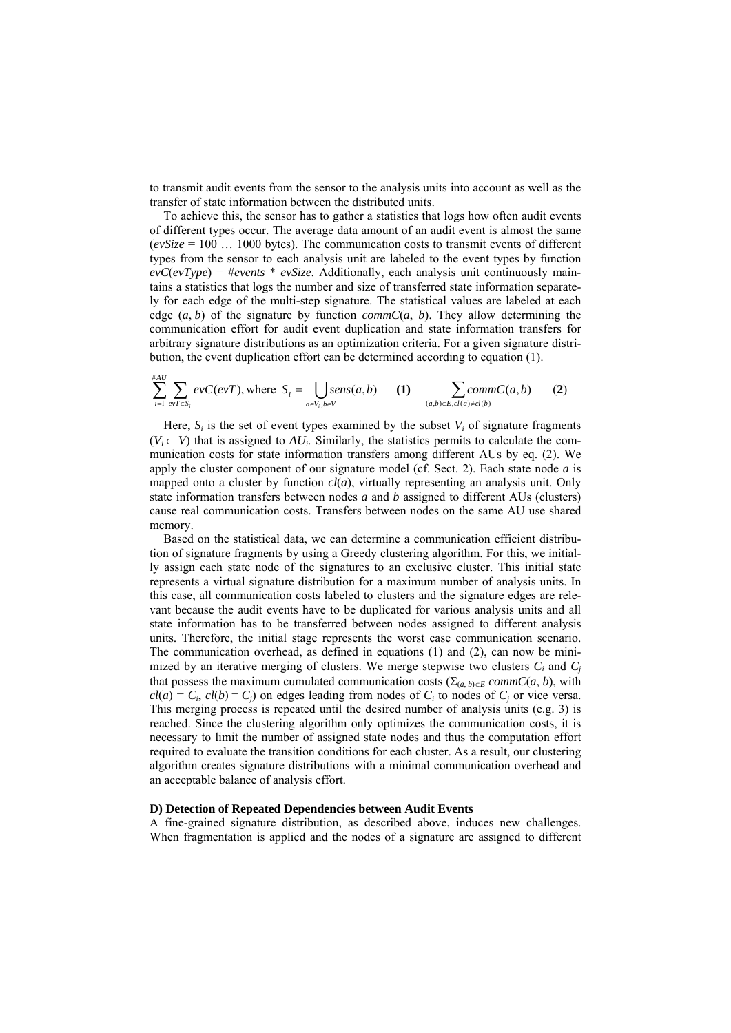to transmit audit events from the sensor to the analysis units into account as well as the transfer of state information between the distributed units.

To achieve this, the sensor has to gather a statistics that logs how often audit events of different types occur. The average data amount of an audit event is almost the same (*evSize* = 100 … 1000 bytes). The communication costs to transmit events of different types from the sensor to each analysis unit are labeled to the event types by function  $evC(evType) = \#events * evSize$ . Additionally, each analysis unit continuously maintains a statistics that logs the number and size of transferred state information separately for each edge of the multi-step signature. The statistical values are labeled at each edge  $(a, b)$  of the signature by function  $commC(a, b)$ . They allow determining the communication effort for audit event duplication and state information transfers for arbitrary signature distributions as an optimization criteria. For a given signature distribution, the event duplication effort can be determined according to equation (1).

$$
\sum_{i=1}^{\#AU} \sum_{evT \in S_i} evC(evT), \text{ where } S_i = \bigcup_{a \in V_i, b \in V} sens(a, b) \qquad (1) \qquad \sum_{(a,b) \in E, cl(a) \neq cl(b)} commC(a, b) \qquad (2)
$$

Here,  $S_i$  is the set of event types examined by the subset  $V_i$  of signature fragments  $(V_i \subset V)$  that is assigned to  $A U_i$ . Similarly, the statistics permits to calculate the communication costs for state information transfers among different AUs by eq. (2). We apply the cluster component of our signature model (cf. Sect. 2). Each state node *a* is mapped onto a cluster by function  $cl(a)$ , virtually representing an analysis unit. Only state information transfers between nodes *a* and *b* assigned to different AUs (clusters) cause real communication costs. Transfers between nodes on the same AU use shared memory.

Based on the statistical data, we can determine a communication efficient distribution of signature fragments by using a Greedy clustering algorithm. For this, we initially assign each state node of the signatures to an exclusive cluster. This initial state represents a virtual signature distribution for a maximum number of analysis units. In this case, all communication costs labeled to clusters and the signature edges are relevant because the audit events have to be duplicated for various analysis units and all state information has to be transferred between nodes assigned to different analysis units. Therefore, the initial stage represents the worst case communication scenario. The communication overhead, as defined in equations (1) and (2), can now be minimized by an iterative merging of clusters. We merge stepwise two clusters  $C_i$  and  $C_j$ that possess the maximum cumulated communication costs ( $\Sigma_{(a, b) \in E}$  *commC(a, b)*, with  $cl(a) = C_i$ ,  $cl(b) = C_j$  on edges leading from nodes of  $C_i$  to nodes of  $C_j$  or vice versa. This merging process is repeated until the desired number of analysis units (e.g. 3) is reached. Since the clustering algorithm only optimizes the communication costs, it is necessary to limit the number of assigned state nodes and thus the computation effort required to evaluate the transition conditions for each cluster. As a result, our clustering algorithm creates signature distributions with a minimal communication overhead and an acceptable balance of analysis effort.

#### **D) Detection of Repeated Dependencies between Audit Events**

A fine-grained signature distribution, as described above, induces new challenges. When fragmentation is applied and the nodes of a signature are assigned to different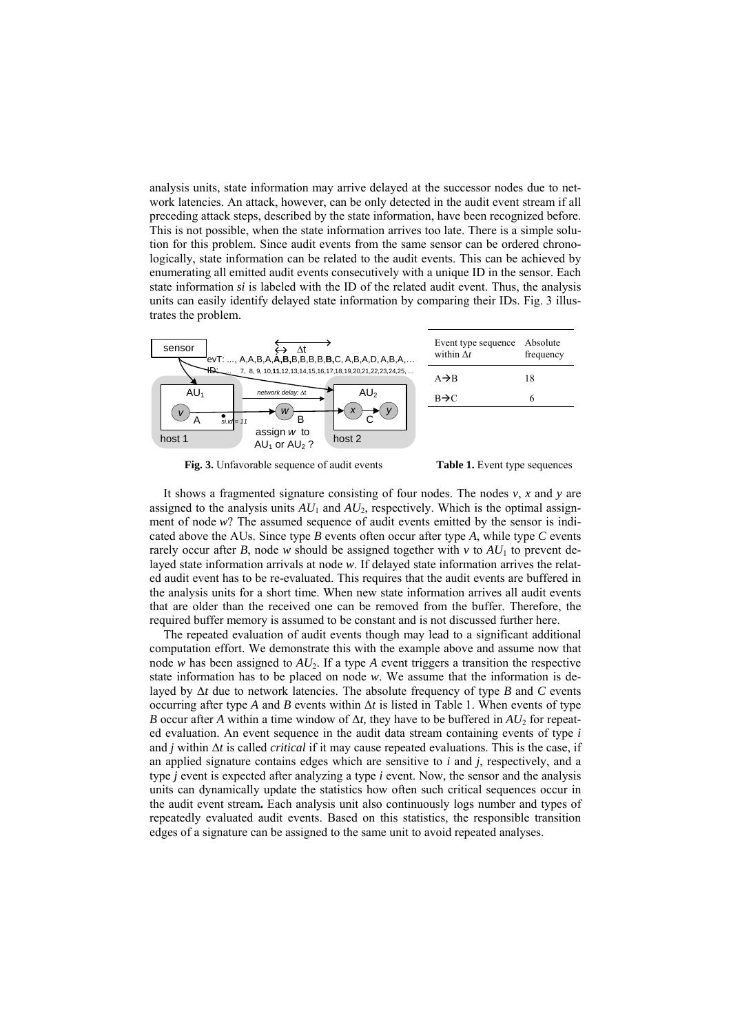analysis units, state information may arrive delayed at the successor nodes due to network latencies. An attack, however, can be only detected in the audit event stream if all preceding attack steps, described by the state information, have been recognized before. This is not possible, when the state information arrives too late. There is a simple solution for this problem. Since audit events from the same sensor can be ordered chronologically, state information can be related to the audit events. This can be achieved by enumerating all emitted audit events consecutively with a unique ID in the sensor. Each state information *si* is labeled with the ID of the related audit event. Thus, the analysis units can easily identify delayed state information by comparing their IDs. Fig. 3 illustrates the problem.



**Fig. 3.** Unfavorable sequence of audit events **Table 1.** Event type sequences

It shows a fragmented signature consisting of four nodes. The nodes *v*, *x* and *y* are assigned to the analysis units  $AU_1$  and  $AU_2$ , respectively. Which is the optimal assignment of node *w*? The assumed sequence of audit events emitted by the sensor is indicated above the AUs. Since type *B* events often occur after type *A*, while type *C* events rarely occur after *B*, node *w* should be assigned together with *v* to  $AU_1$  to prevent delayed state information arrivals at node *w*. If delayed state information arrives the related audit event has to be re-evaluated. This requires that the audit events are buffered in the analysis units for a short time. When new state information arrives all audit events that are older than the received one can be removed from the buffer. Therefore, the required buffer memory is assumed to be constant and is not discussed further here.

The repeated evaluation of audit events though may lead to a significant additional computation effort. We demonstrate this with the example above and assume now that node *w* has been assigned to *AU*2. If a type *A* event triggers a transition the respective state information has to be placed on node *w*. We assume that the information is delayed by  $\Delta t$  due to network latencies. The absolute frequency of type *B* and *C* events occurring after type *A* and *B* events within  $\Delta t$  is listed in Table 1. When events of type *B* occur after *A* within a time window of  $\Delta t$ , they have to be buffered in  $AU_2$  for repeated evaluation. An event sequence in the audit data stream containing events of type *i* and *j* within Δ*t* is called *critical* if it may cause repeated evaluations. This is the case, if an applied signature contains edges which are sensitive to *i* and *j*, respectively, and a type *j* event is expected after analyzing a type *i* event. Now, the sensor and the analysis units can dynamically update the statistics how often such critical sequences occur in the audit event stream**.** Each analysis unit also continuously logs number and types of repeatedly evaluated audit events. Based on this statistics, the responsible transition edges of a signature can be assigned to the same unit to avoid repeated analyses.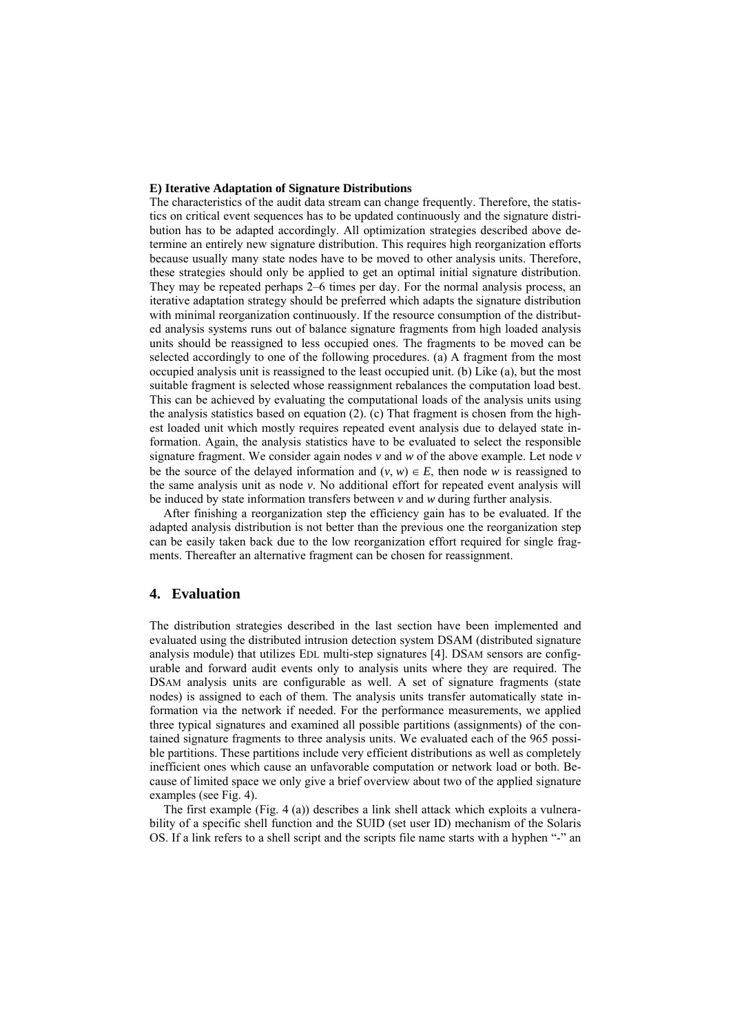#### **E) Iterative Adaptation of Signature Distributions**

The characteristics of the audit data stream can change frequently. Therefore, the statistics on critical event sequences has to be updated continuously and the signature distribution has to be adapted accordingly. All optimization strategies described above determine an entirely new signature distribution. This requires high reorganization efforts because usually many state nodes have to be moved to other analysis units. Therefore, these strategies should only be applied to get an optimal initial signature distribution. They may be repeated perhaps 2–6 times per day. For the normal analysis process, an iterative adaptation strategy should be preferred which adapts the signature distribution with minimal reorganization continuously. If the resource consumption of the distributed analysis systems runs out of balance signature fragments from high loaded analysis units should be reassigned to less occupied ones. The fragments to be moved can be selected accordingly to one of the following procedures. (a) A fragment from the most occupied analysis unit is reassigned to the least occupied unit. (b) Like (a), but the most suitable fragment is selected whose reassignment rebalances the computation load best. This can be achieved by evaluating the computational loads of the analysis units using the analysis statistics based on equation (2). (c) That fragment is chosen from the highest loaded unit which mostly requires repeated event analysis due to delayed state information. Again, the analysis statistics have to be evaluated to select the responsible signature fragment. We consider again nodes *v* and *w* of the above example. Let node *v* be the source of the delayed information and  $(v, w) \in E$ , then node *w* is reassigned to the same analysis unit as node *v*. No additional effort for repeated event analysis will be induced by state information transfers between *v* and *w* during further analysis.

After finishing a reorganization step the efficiency gain has to be evaluated. If the adapted analysis distribution is not better than the previous one the reorganization step can be easily taken back due to the low reorganization effort required for single fragments. Thereafter an alternative fragment can be chosen for reassignment.

# **4. Evaluation**

The distribution strategies described in the last section have been implemented and evaluated using the distributed intrusion detection system DSAM (distributed signature analysis module) that utilizes EDL multi-step signatures [4]. DSAM sensors are configurable and forward audit events only to analysis units where they are required. The DSAM analysis units are configurable as well. A set of signature fragments (state nodes) is assigned to each of them. The analysis units transfer automatically state information via the network if needed. For the performance measurements, we applied three typical signatures and examined all possible partitions (assignments) of the contained signature fragments to three analysis units. We evaluated each of the 965 possible partitions. These partitions include very efficient distributions as well as completely inefficient ones which cause an unfavorable computation or network load or both. Because of limited space we only give a brief overview about two of the applied signature examples (see Fig. 4).

The first example (Fig. 4 (a)) describes a link shell attack which exploits a vulnerability of a specific shell function and the SUID (set user ID) mechanism of the Solaris OS. If a link refers to a shell script and the scripts file name starts with a hyphen "-" an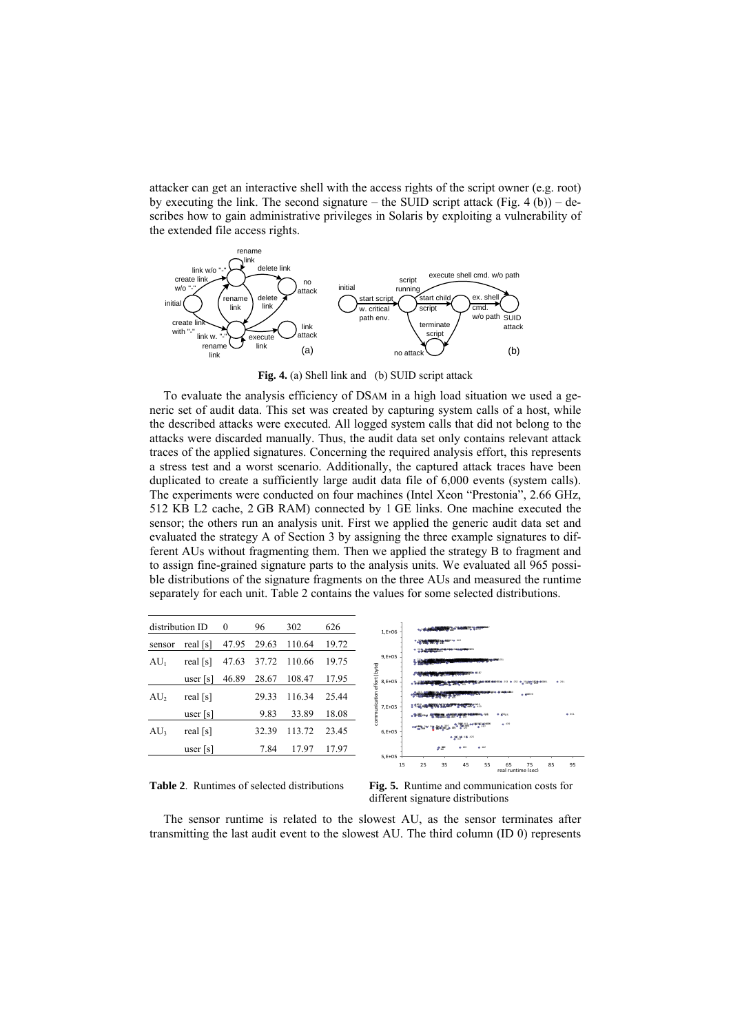attacker can get an interactive shell with the access rights of the script owner (e.g. root) by executing the link. The second signature – the SUID script attack (Fig. 4 (b)) – describes how to gain administrative privileges in Solaris by exploiting a vulnerability of the extended file access rights.



**Fig. 4.** (a) Shell link and (b) SUID script attack

To evaluate the analysis efficiency of DSAM in a high load situation we used a generic set of audit data. This set was created by capturing system calls of a host, while the described attacks were executed. All logged system calls that did not belong to the attacks were discarded manually. Thus, the audit data set only contains relevant attack traces of the applied signatures. Concerning the required analysis effort, this represents a stress test and a worst scenario. Additionally, the captured attack traces have been duplicated to create a sufficiently large audit data file of 6,000 events (system calls). The experiments were conducted on four machines (Intel Xeon "Prestonia", 2.66 GHz, 512 KB L2 cache, 2 GB RAM) connected by 1 GE links. One machine executed the sensor; the others run an analysis unit. First we applied the generic audit data set and evaluated the strategy A of Section 3 by assigning the three example signatures to different AUs without fragmenting them. Then we applied the strategy B to fragment and to assign fine-grained signature parts to the analysis units. We evaluated all 965 possible distributions of the signature fragments on the three AUs and measured the runtime separately for each unit. Table 2 contains the values for some selected distributions.

| distribution ID |            | $\theta$ | 96    | 302    | 626   |
|-----------------|------------|----------|-------|--------|-------|
| sensor          | real $[s]$ | 47.95    | 29.63 | 110.64 | 19.72 |
| $AU_1$          | real $[s]$ | 47.63    | 37.72 | 110.66 | 19.75 |
|                 | user $[s]$ | 46.89    | 28.67 | 108.47 | 17.95 |
| AU <sub>2</sub> | real $[s]$ |          | 29.33 | 11634  | 25.44 |
|                 | user $[s]$ |          | 9.83  | 33.89  | 18.08 |
| AU <sub>3</sub> | real $[s]$ |          | 32.39 | 113.72 | 23.45 |
|                 | user $ s $ |          | 7.84  | 17.97  | 17.97 |





The sensor runtime is related to the slowest AU, as the sensor terminates after transmitting the last audit event to the slowest AU. The third column (ID 0) represents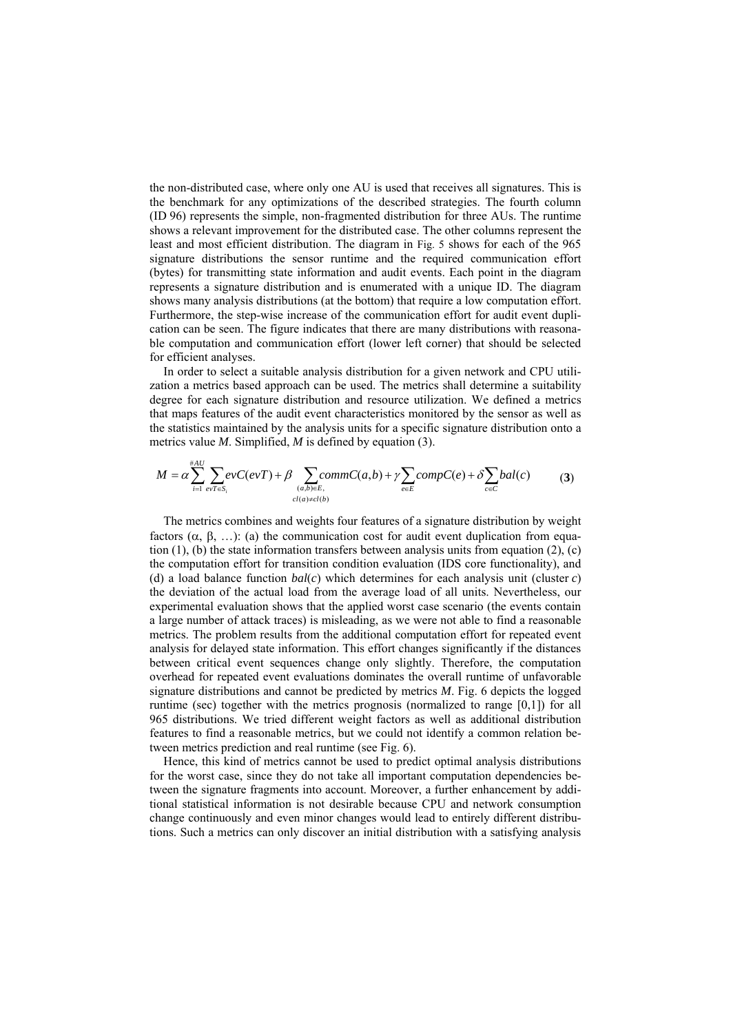the non-distributed case, where only one AU is used that receives all signatures. This is the benchmark for any optimizations of the described strategies. The fourth column (ID 96) represents the simple, non-fragmented distribution for three AUs. The runtime shows a relevant improvement for the distributed case. The other columns represent the least and most efficient distribution. The diagram in Fig. 5 shows for each of the 965 signature distributions the sensor runtime and the required communication effort (bytes) for transmitting state information and audit events. Each point in the diagram represents a signature distribution and is enumerated with a unique ID. The diagram shows many analysis distributions (at the bottom) that require a low computation effort. Furthermore, the step-wise increase of the communication effort for audit event duplication can be seen. The figure indicates that there are many distributions with reasonable computation and communication effort (lower left corner) that should be selected for efficient analyses.

In order to select a suitable analysis distribution for a given network and CPU utilization a metrics based approach can be used. The metrics shall determine a suitability degree for each signature distribution and resource utilization. We defined a metrics that maps features of the audit event characteristics monitored by the sensor as well as the statistics maintained by the analysis units for a specific signature distribution onto a metrics value *M*. Simplified, *M* is defined by equation (3).

$$
M = \alpha \sum_{i=1}^{HAU} \sum_{evT \in S_i} evC(evT) + \beta \sum_{\substack{(a,b)\in E,\\cl(a)\neq cl(b)}} commC(a,b) + \gamma \sum_{e \in E} compC(e) + \delta \sum_{c \in C} bal(c)
$$
 (3)

The metrics combines and weights four features of a signature distribution by weight factors  $(\alpha, \beta, ...)$ : (a) the communication cost for audit event duplication from equation  $(1)$ ,  $(b)$  the state information transfers between analysis units from equation  $(2)$ ,  $(c)$ the computation effort for transition condition evaluation (IDS core functionality), and (d) a load balance function *bal*(*c*) which determines for each analysis unit (cluster *c*) the deviation of the actual load from the average load of all units. Nevertheless, our experimental evaluation shows that the applied worst case scenario (the events contain a large number of attack traces) is misleading, as we were not able to find a reasonable metrics. The problem results from the additional computation effort for repeated event analysis for delayed state information. This effort changes significantly if the distances between critical event sequences change only slightly. Therefore, the computation overhead for repeated event evaluations dominates the overall runtime of unfavorable signature distributions and cannot be predicted by metrics *M*. Fig. 6 depicts the logged runtime (sec) together with the metrics prognosis (normalized to range [0,1]) for all 965 distributions. We tried different weight factors as well as additional distribution features to find a reasonable metrics, but we could not identify a common relation between metrics prediction and real runtime (see Fig. 6).

Hence, this kind of metrics cannot be used to predict optimal analysis distributions for the worst case, since they do not take all important computation dependencies between the signature fragments into account. Moreover, a further enhancement by additional statistical information is not desirable because CPU and network consumption change continuously and even minor changes would lead to entirely different distributions. Such a metrics can only discover an initial distribution with a satisfying analysis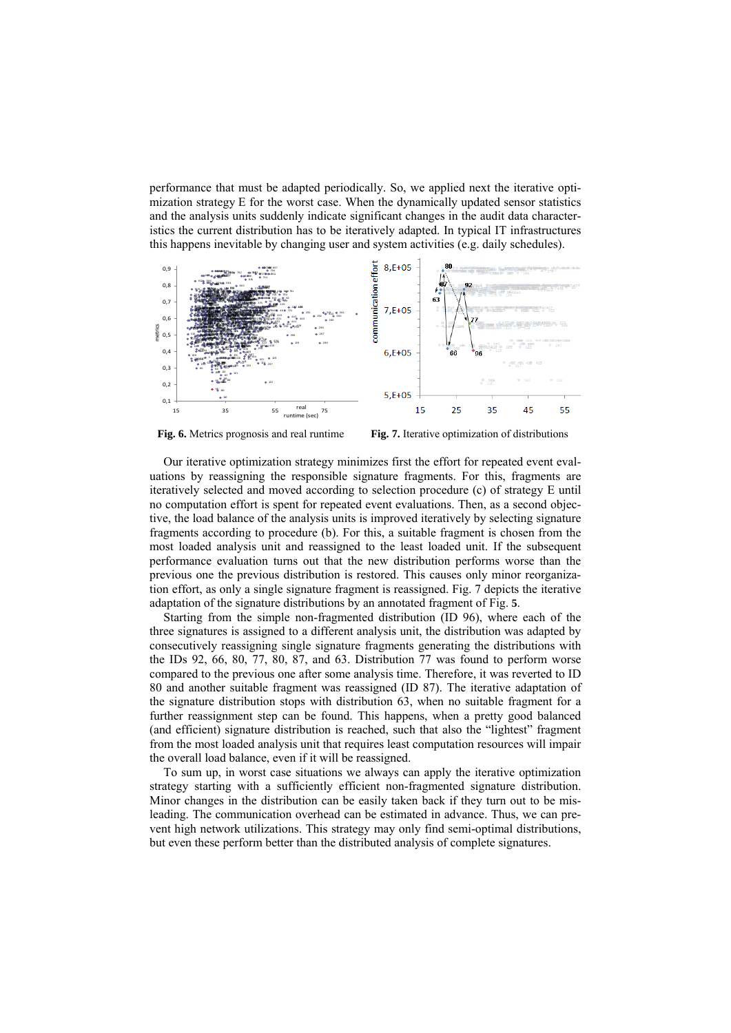performance that must be adapted periodically. So, we applied next the iterative optimization strategy E for the worst case. When the dynamically updated sensor statistics and the analysis units suddenly indicate significant changes in the audit data characteristics the current distribution has to be iteratively adapted. In typical IT infrastructures this happens inevitable by changing user and system activities (e.g. daily schedules).



**Fig. 6.** Metrics prognosis and real runtime **Fig. 7.** Iterative optimization of distributions

Our iterative optimization strategy minimizes first the effort for repeated event evaluations by reassigning the responsible signature fragments. For this, fragments are iteratively selected and moved according to selection procedure (c) of strategy E until no computation effort is spent for repeated event evaluations. Then, as a second objective, the load balance of the analysis units is improved iteratively by selecting signature fragments according to procedure (b). For this, a suitable fragment is chosen from the most loaded analysis unit and reassigned to the least loaded unit. If the subsequent performance evaluation turns out that the new distribution performs worse than the previous one the previous distribution is restored. This causes only minor reorganization effort, as only a single signature fragment is reassigned. Fig. 7 depicts the iterative adaptation of the signature distributions by an annotated fragment of Fig. **5**.

Starting from the simple non-fragmented distribution (ID 96), where each of the three signatures is assigned to a different analysis unit, the distribution was adapted by consecutively reassigning single signature fragments generating the distributions with the IDs 92, 66, 80, 77, 80, 87, and 63. Distribution 77 was found to perform worse compared to the previous one after some analysis time. Therefore, it was reverted to ID 80 and another suitable fragment was reassigned (ID 87). The iterative adaptation of the signature distribution stops with distribution 63, when no suitable fragment for a further reassignment step can be found. This happens, when a pretty good balanced (and efficient) signature distribution is reached, such that also the "lightest" fragment from the most loaded analysis unit that requires least computation resources will impair the overall load balance, even if it will be reassigned.

To sum up, in worst case situations we always can apply the iterative optimization strategy starting with a sufficiently efficient non-fragmented signature distribution. Minor changes in the distribution can be easily taken back if they turn out to be misleading. The communication overhead can be estimated in advance. Thus, we can prevent high network utilizations. This strategy may only find semi-optimal distributions, but even these perform better than the distributed analysis of complete signatures.